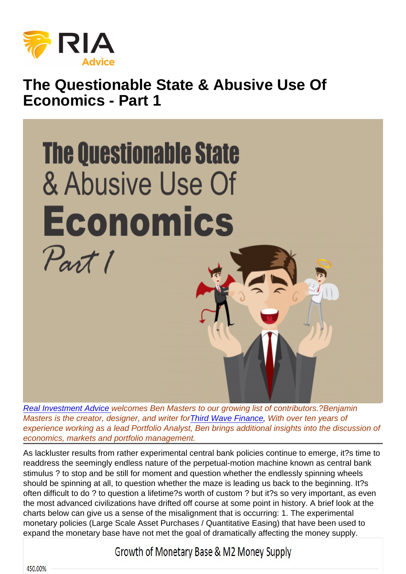## The Questionable State & Abusive Use Of Economics - Part 1

[Real Investment Advice](https://www.realinvestmentadvice.com) welcomes Ben Masters to our growing list of contributors.?Benjamin Masters is the creator, designer, and writer for[Third Wave Finance](http://www.thirdwavefinance.wordpress.com), With over ten years of experience working as a lead Portfolio Analyst, Ben brings additional insights into the discussion of economics, markets and portfolio management.

As lackluster results from rather experimental central bank policies continue to emerge, it?s time to readdress the seemingly endless nature of the perpetual-motion machine known as central bank stimulus ? to stop and be still for moment and question whether the endlessly spinning wheels should be spinning at all, to question whether the maze is leading us back to the beginning. It?s often difficult to do ? to question a lifetime?s worth of custom ? but it?s so very important, as even the most advanced civilizations have drifted off course at some point in history. A brief look at the charts below can give us a sense of the misalignment that is occurring: 1. The experimental monetary policies (Large Scale Asset Purchases / Quantitative Easing) that have been used to expand the monetary base have not met the goal of dramatically affecting the money supply.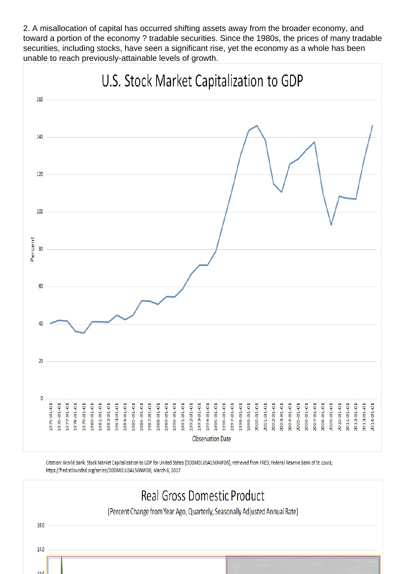2. A misallocation of capital has occurred shifting assets away from the broader economy, and toward a portion of the economy ? tradable securities. Since the 1980s, the prices of many tradable securities, including stocks, have seen a significant rise, yet the economy as a whole has been unable to reach previously-attainable levels of growth.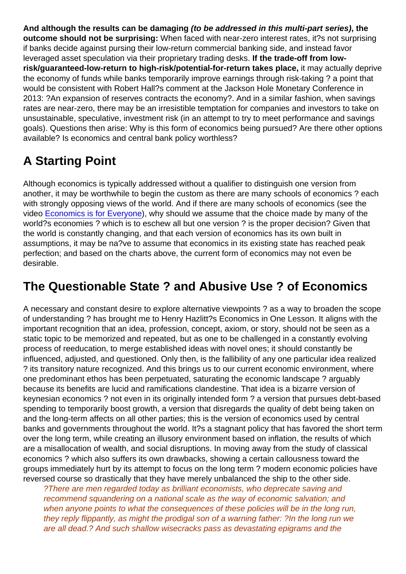And although the results can be damaging (to be addressed in this multi-part series), the outcome should not be surprising: When faced with near-zero interest rates, it?s not surprising if banks decide against pursing their low-return commercial banking side, and instead favor leveraged asset speculation via their proprietary trading desks. If the trade-off from lowrisk/guaranteed-low-return to high-risk/potential-for-return takes place, it may actually deprive the economy of funds while banks temporarily improve earnings through risk-taking ? a point that would be consistent with Robert Hall?s comment at the Jackson Hole Monetary Conference in 2013: ?An expansion of reserves contracts the economy?. And in a similar fashion, when savings rates are near-zero, there may be an irresistible temptation for companies and investors to take on unsustainable, speculative, investment risk (in an attempt to try to meet performance and savings goals). Questions then arise: Why is this form of economics being pursued? Are there other options available? Is economics and central bank policy worthless?

## A Starting Point

Although economics is typically addressed without a qualifier to distinguish one version from another, it may be worthwhile to begin the custom as there are many schools of economics ? each with strongly opposing views of the world. And if there are many schools of economics (see the video [Economics is for Everyone](https://www.youtube.com/watch?v=NdbbcO35arw)), why should we assume that the choice made by many of the world?s economies ? which is to eschew all but one version ? is the proper decision? Given that the world is constantly changing, and that each version of economics has its own built in assumptions, it may be na?ve to assume that economics in its existing state has reached peak perfection; and based on the charts above, the current form of economics may not even be desirable.

## The Questionable State ? and Abusive Use ? of Economics

A necessary and constant desire to explore alternative viewpoints ? as a way to broaden the scope of understanding ? has brought me to Henry Hazlitt?s Economics in One Lesson. It aligns with the important recognition that an idea, profession, concept, axiom, or story, should not be seen as a static topic to be memorized and repeated, but as one to be challenged in a constantly evolving process of reeducation, to merge established ideas with novel ones; it should constantly be influenced, adjusted, and questioned. Only then, is the fallibility of any one particular idea realized ? its transitory nature recognized. And this brings us to our current economic environment, where one predominant ethos has been perpetuated, saturating the economic landscape ? arguably because its benefits are lucid and ramifications clandestine. That idea is a bizarre version of keynesian economics ? not even in its originally intended form ? a version that pursues debt-based spending to temporarily boost growth, a version that disregards the quality of debt being taken on and the long-term affects on all other parties; this is the version of economics used by central banks and governments throughout the world. It?s a stagnant policy that has favored the short term over the long term, while creating an illusory environment based on inflation, the results of which are a misallocation of wealth, and social disruptions. In moving away from the study of classical economics ? which also suffers its own drawbacks, showing a certain callousness toward the groups immediately hurt by its attempt to focus on the long term ? modern economic policies have reversed course so drastically that they have merely unbalanced the ship to the other side.

?There are men regarded today as brilliant economists, who deprecate saving and recommend squandering on a national scale as the way of economic salvation; and when anyone points to what the consequences of these policies will be in the long run, they reply flippantly, as might the prodigal son of a warning father: ?In the long run we are all dead.? And such shallow wisecracks pass as devastating epigrams and the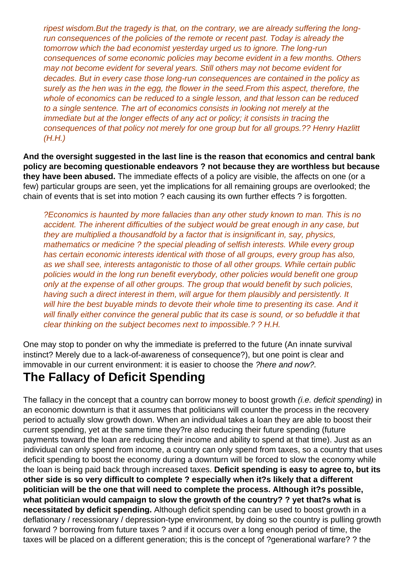ripest wisdom.But the tragedy is that, on the contrary, we are already suffering the longrun consequences of the policies of the remote or recent past. Today is already the tomorrow which the bad economist yesterday urged us to ignore. The long-run consequences of some economic policies may become evident in a few months. Others may not become evident for several years. Still others may not become evident for decades. But in every case those long-run consequences are contained in the policy as surely as the hen was in the egg, the flower in the seed.From this aspect, therefore, the whole of economics can be reduced to a single lesson, and that lesson can be reduced to a single sentence. The art of economics consists in looking not merely at the immediate but at the longer effects of any act or policy; it consists in tracing the consequences of that policy not merely for one group but for all groups.?? Henry Hazlitt (H.H.)

**And the oversight suggested in the last line is the reason that economics and central bank policy are becoming questionable endeavors ? not because they are worthless but because they have been abused.** The immediate effects of a policy are visible, the affects on one (or a few) particular groups are seen, yet the implications for all remaining groups are overlooked; the chain of events that is set into motion ? each causing its own further effects ? is forgotten.

?Economics is haunted by more fallacies than any other study known to man. This is no accident. The inherent difficulties of the subject would be great enough in any case, but they are multiplied a thousandfold by a factor that is insignificant in, say, physics, mathematics or medicine ? the special pleading of selfish interests. While every group has certain economic interests identical with those of all groups, every group has also, as we shall see, interests antagonistic to those of all other groups. While certain public policies would in the long run benefit everybody, other policies would benefit one group only at the expense of all other groups. The group that would benefit by such policies, having such a direct interest in them, will argue for them plausibly and persistently. It will hire the best buyable minds to devote their whole time to presenting its case. And it will finally either convince the general public that its case is sound, or so befuddle it that clear thinking on the subject becomes next to impossible.? ? H.H.

One may stop to ponder on why the immediate is preferred to the future (An innate survival instinct? Merely due to a lack-of-awareness of consequence?), but one point is clear and immovable in our current environment: it is easier to choose the ?here and now?.

## **The Fallacy of Deficit Spending**

The fallacy in the concept that a country can borrow money to boost growth *(i.e. deficit spending)* in an economic downturn is that it assumes that politicians will counter the process in the recovery period to actually slow growth down. When an individual takes a loan they are able to boost their current spending, yet at the same time they?re also reducing their future spending (future payments toward the loan are reducing their income and ability to spend at that time). Just as an individual can only spend from income, a country can only spend from taxes, so a country that uses deficit spending to boost the economy during a downturn will be forced to slow the economy while the loan is being paid back through increased taxes. **Deficit spending is easy to agree to, but its other side is so very difficult to complete ? especially when it?s likely that a different politician will be the one that will need to complete the process. Although it?s possible, what politician would campaign to slow the growth of the country? ? yet that?s what is necessitated by deficit spending.** Although deficit spending can be used to boost growth in a deflationary / recessionary / depression-type environment, by doing so the country is pulling growth forward ? borrowing from future taxes ? and if it occurs over a long enough period of time, the taxes will be placed on a different generation; this is the concept of ?generational warfare? ? the